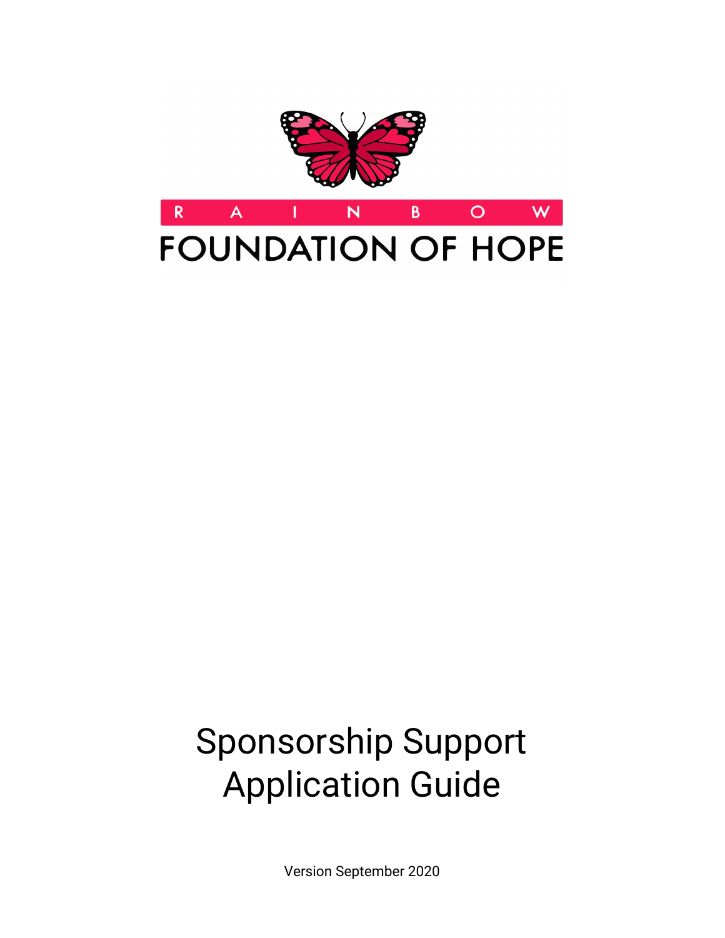

# Sponsorship Support Application Guide

Version September 2020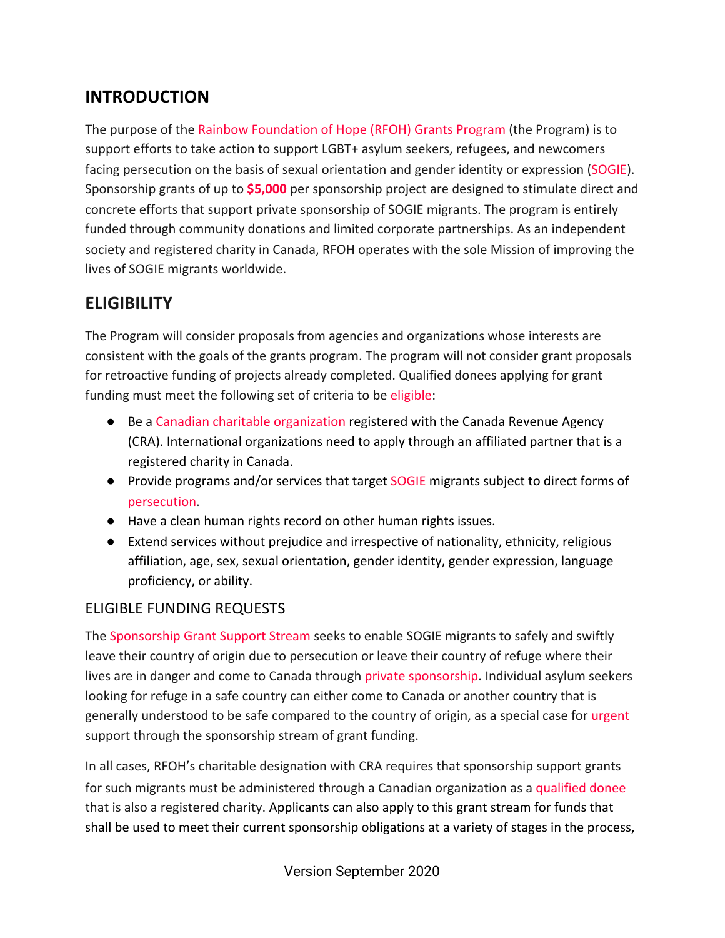## **INTRODUCTION**

The purpose of the Rainbow Foundation of Hope (RFOH) Grants Program (the Program) is to support efforts to take action to support LGBT+ asylum seekers, refugees, and newcomers facing persecution on the basis of sexual orientation and gender identity or expression (SOGIE). Sponsorship grants of up to **\$5,000** per sponsorship project are designed to stimulate direct and concrete efforts that support private sponsorship of SOGIE migrants. The program is entirely funded through community donations and limited corporate partnerships. As an independent society and registered charity in Canada, RFOH operates with the sole Mission of improving the lives of SOGIE migrants worldwide.

## **ELIGIBILITY**

The Program will consider proposals from agencies and organizations whose interests are consistent with the goals of the grants program. The program will not consider grant proposals for retroactive funding of projects already completed. Qualified donees applying for grant funding must meet the following set of criteria to be eligible:

- Be a Canadian charitable organization registered with the Canada Revenue Agency (CRA). International organizations need to apply through an affiliated partner that is a registered charity in Canada.
- Provide programs and/or services that target SOGIE migrants subject to direct forms of persecution.
- Have a clean human rights record on other human rights issues.
- Extend services without prejudice and irrespective of nationality, ethnicity, religious affiliation, age, sex, sexual orientation, gender identity, gender expression, language proficiency, or ability.

#### ELIGIBLE FUNDING REQUESTS

The Sponsorship Grant Support Stream seeks to enable SOGIE migrants to safely and swiftly leave their country of origin due to persecution or leave their country of refuge where their lives are in danger and come to Canada through private sponsorship. Individual asylum seekers looking for refuge in a safe country can either come to Canada or another country that is generally understood to be safe compared to the country of origin, as a special case for urgent support through the sponsorship stream of grant funding.

In all cases, RFOH's charitable designation with CRA requires that sponsorship support grants for such migrants must be administered through a Canadian organization as a qualified donee that is also a registered charity. Applicants can also apply to this grant stream for funds that shall be used to meet their current sponsorship obligations at a variety of stages in the process,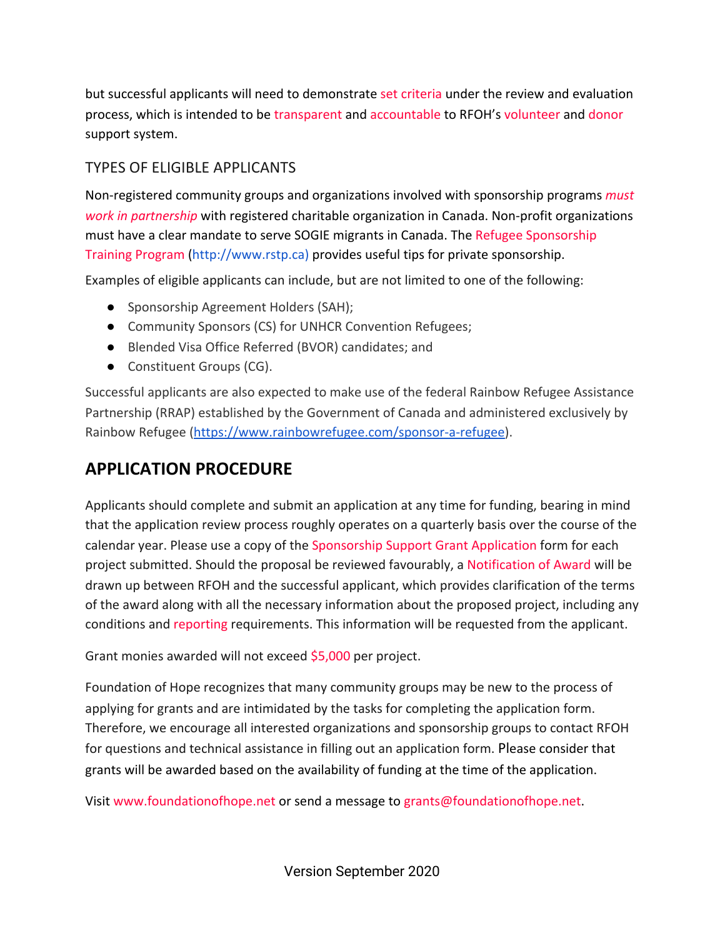but successful applicants will need to demonstrate set criteria under the review and evaluation process, which is intended to be transparent and accountable to RFOH's volunteer and donor support system.

#### TYPES OF ELIGIBLE APPLICANTS

Non-registered community groups and organizations involved with sponsorship programs *must work in partnership* with registered charitable organization in Canada. Non-profit organizations must have a clear mandate to serve SOGIE migrants in Canada. The Refugee Sponsorship Training Program ([http://www.rstp.ca](http://www.rstp.ca/)) provides useful tips for private sponsorship.

Examples of eligible applicants can include, but are not limited to one of the following:

- Sponsorship Agreement Holders (SAH);
- Community Sponsors (CS) for UNHCR Convention Refugees;
- Blended Visa Office Referred (BVOR) candidates; and
- Constituent Groups (CG).

Successful applicants are also expected to make use of the federal Rainbow Refugee Assistance Partnership (RRAP) established by the Government of Canada and administered exclusively by Rainbow Refugee ([https://www.rainbowrefugee.com/sponsor-a-refugee\)](https://www.rainbowrefugee.com/sponsor-a-refugee).

## **APPLICATION PROCEDURE**

Applicants should complete and submit an application at any time for funding, bearing in mind that the application review process roughly operates on a quarterly basis over the course of the calendar year. Please use a copy of the Sponsorship Support Grant Application form for each project submitted. Should the proposal be reviewed favourably, a Notification of Award will be drawn up between RFOH and the successful applicant, which provides clarification of the terms of the award along with all the necessary information about the proposed project, including any conditions and reporting requirements. This information will be requested from the applicant.

Grant monies awarded will not exceed \$5,000 per project.

Foundation of Hope recognizes that many community groups may be new to the process of applying for grants and are intimidated by the tasks for completing the application form. Therefore, we encourage all interested organizations and sponsorship groups to contact RFOH for questions and technical assistance in filling out an application form. Please consider that grants will be awarded based on the availability of funding at the time of the application.

Visit [www.foundationofhope.net](http://www.foundationofhope.net/) or send a message to [grants@foundationofhope.net](mailto:grants@foundationofhope.net).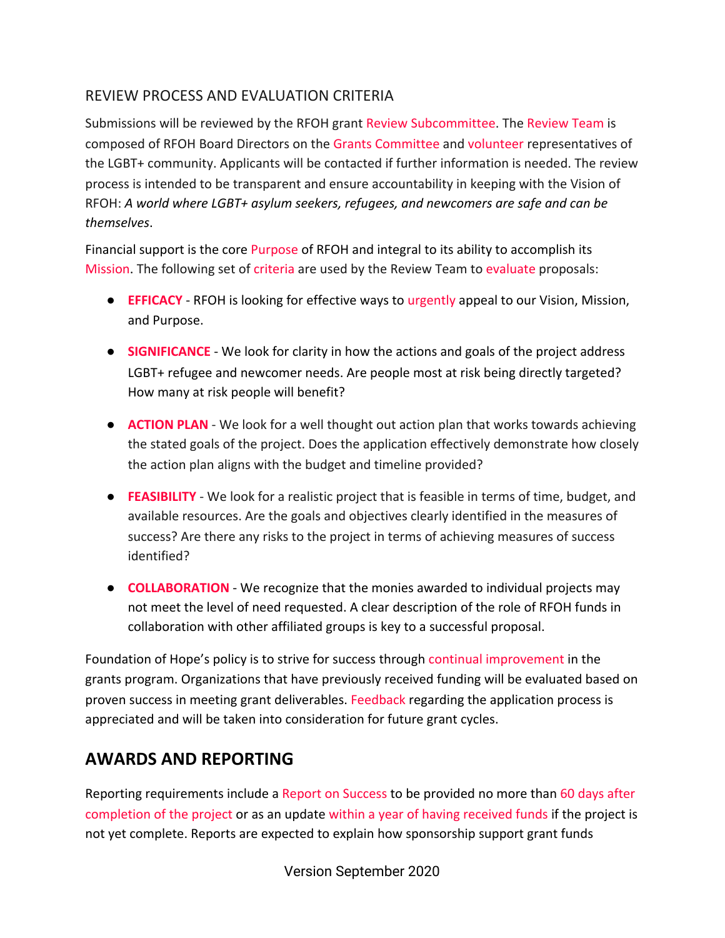#### REVIEW PROCESS AND EVALUATION CRITERIA

Submissions will be reviewed by the RFOH grant Review Subcommittee. The Review Team is composed of RFOH Board Directors on the Grants Committee and volunteer representatives of the LGBT+ community. Applicants will be contacted if further information is needed. The review process is intended to be transparent and ensure accountability in keeping with the Vision of RFOH: *A world where LGBT+ asylum seekers, refugees, and newcomers are safe and can be themselves*.

Financial support is the core Purpose of RFOH and integral to its ability to accomplish its Mission. The following set of criteria are used by the Review Team to evaluate proposals:

- **EFFICACY** RFOH is looking for effective ways to urgently appeal to our Vision, Mission, and Purpose.
- **SIGNIFICANCE** We look for clarity in how the actions and goals of the project address LGBT+ refugee and newcomer needs. Are people most at risk being directly targeted? How many at risk people will benefit?
- **ACTION PLAN** We look for a well thought out action plan that works towards achieving the stated goals of the project. Does the application effectively demonstrate how closely the action plan aligns with the budget and timeline provided?
- **FEASIBILITY** We look for a realistic project that is feasible in terms of time, budget, and available resources. Are the goals and objectives clearly identified in the measures of success? Are there any risks to the project in terms of achieving measures of success identified?
- **COLLABORATION** We recognize that the monies awarded to individual projects may not meet the level of need requested. A clear description of the role of RFOH funds in collaboration with other affiliated groups is key to a successful proposal.

Foundation of Hope's policy is to strive for success through continual improvement in the grants program. Organizations that have previously received funding will be evaluated based on proven success in meeting grant deliverables. Feedback regarding the application process is appreciated and will be taken into consideration for future grant cycles.

### **AWARDS AND REPORTING**

Reporting requirements include a Report on Success to be provided no more than 60 days after completion of the project or as an update within a year of having received funds if the project is not yet complete. Reports are expected to explain how sponsorship support grant funds